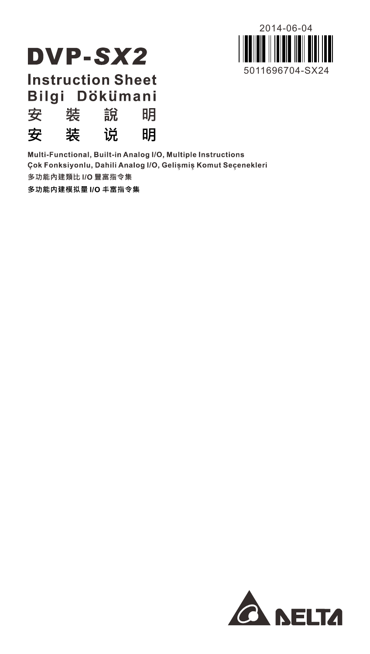

# **DVP-SX2**

**Instruction Sheet** Bilgi Dökümani **Z** 进 台 **RB** 

| ⋋ | ≁ | 67 V | my y |
|---|---|------|------|
| 安 | 装 | 说    | 明    |

Multi-Functional, Built-in Analog I/O, Multiple Instructions Çok Fonksiyonlu, Dahili Analog I/O, Gelişmiş Komut Seçenekleri 多功能內建類比 I/O 豐富指令集

多功能内建模拟量 I/O 丰富指令集

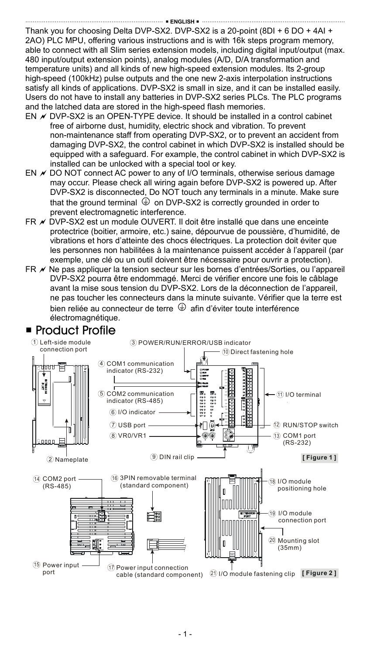Thank you for choosing Delta DVP-SX2. DVP-SX2 is a 20-point (8DI + 6 DO + 4AI + 2AO) PLC MPU, offering various instructions and is with 16k steps program memory, able to connect with all Slim series extension models, including digital input/output (max. 480 input/output extension points), analog modules (A/D, D/A transformation and temperature units) and all kinds of new high-speed extension modules. Its 2-group high-speed (100kHz) pulse outputs and the one new 2-axis interpolation instructions satisfy all kinds of applications. DVP-SX2 is small in size, and it can be installed easily. Users do not have to install any batteries in DVP-SX2 series PLCs. The PLC programs and the latched data are stored in the high-speed flash memories.

- EN  $\overline{\prime}$  DVP-SX2 is an OPEN-TYPE device. It should be installed in a control cabinet free of airborne dust, humidity, electric shock and vibration. To prevent non-maintenance staff from operating DVP-SX2, or to prevent an accident from damaging DVP-SX2, the control cabinet in which DVP-SX2 is installed should be equipped with a safeguard. For example, the control cabinet in which DVP-SX2 is installed can be unlocked with a special tool or key.
- EN  $\times$  DO NOT connect AC power to any of I/O terminals, otherwise serious damage may occur. Please check all wiring again before DVP-SX2 is powered up. After DVP-SX2 is disconnected, Do NOT touch any terminals in a minute. Make sure that the ground terminal  $\Phi$  on DVP-SX2 is correctly grounded in order to prevent electromagnetic interference.
- FR  $\nu$  DVP-SX2 est un module OUVERT. Il doit être installé que dans une enceinte protectrice (boitier, armoire, etc.) saine, dépourvue de poussière, d'humidité, de vibrations et hors d'atteinte des chocs électriques. La protection doit éviter que les personnes non habilitées à la maintenance puissent accéder à l'appareil (par exemple, une clé ou un outil doivent être nécessaire pour ouvrir a protection).
- FR  $\nu$  Ne pas appliquer la tension secteur sur les bornes d'entrées/Sorties, ou l'appareil DVP-SX2 pourra être endommagé. Merci de vérifier encore une fois le câblage avant la mise sous tension du DVP-SX2. Lors de la déconnection de l'appareil, ne pas toucher les connecteurs dans la minute suivante. Vérifier que la terre est bien reliée au connecteur de terre  $\bigoplus$  afin d'éviter toute interférence électromagnétique.



### ■ Product Profile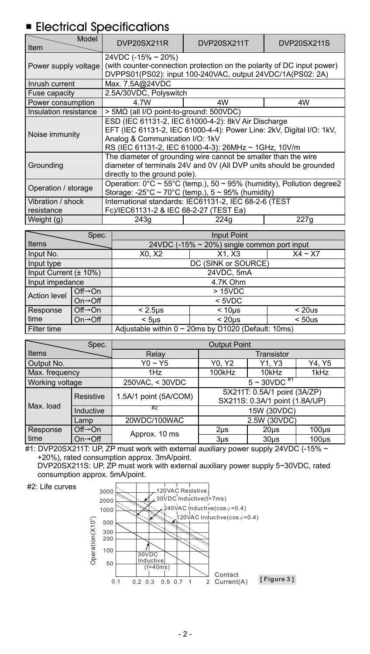# **Electrical Specifications**

| Model<br>Item                   | DVP20SX211R                                                                                                                                                                                                            | DVP20SX211T                             | DVP20SX211S |  |  |  |
|---------------------------------|------------------------------------------------------------------------------------------------------------------------------------------------------------------------------------------------------------------------|-----------------------------------------|-------------|--|--|--|
| Power supply voltage            | 24VDC (-15% ~ 20%)<br>(with counter-connection protection on the polarity of DC input power)<br>DVPPS01(PS02): input 100-240VAC, output 24VDC/1A(PS02: 2A)                                                             |                                         |             |  |  |  |
| Inrush current                  | Max. 7.5A@24VDC                                                                                                                                                                                                        |                                         |             |  |  |  |
| Fuse capacity                   | 2.5A/30VDC, Polyswitch                                                                                                                                                                                                 |                                         |             |  |  |  |
| Power consumption               | 4.7W                                                                                                                                                                                                                   | 4W                                      | 4W          |  |  |  |
| Insulation resistance           |                                                                                                                                                                                                                        | > 5MΩ (all I/O point-to-ground: 500VDC) |             |  |  |  |
| Noise immunity                  | ESD (IEC 61131-2, IEC 61000-4-2): 8kV Air Discharge<br>EFT (IEC 61131-2, IEC 61000-4-4): Power Line: 2kV, Digital I/O: 1kV,<br>Analog & Communication I/O: 1kV<br>RS (IEC 61131-2, IEC 61000-4-3): 26MHz ~ 1GHz, 10V/m |                                         |             |  |  |  |
| Grounding                       | The diameter of grounding wire cannot be smaller than the wire<br>diameter of terminals 24V and 0V (All DVP units should be grounded<br>directly to the ground pole).                                                  |                                         |             |  |  |  |
| Operation / storage             | Operation: $0^{\circ}$ C ~ 55°C (temp.), 50 ~ 95% (humidity), Pollution degree2<br>Storage: -25°C ~ 70°C (temp.), $5 \sim 95\%$ (humidity)                                                                             |                                         |             |  |  |  |
| Vibration / shock<br>resistance | International standards: IEC61131-2, IEC 68-2-6 (TEST<br>Fc)/IEC61131-2 & IEC 68-2-27 (TEST Ea)                                                                                                                        |                                         |             |  |  |  |
| Weight (g)                      | 243q                                                                                                                                                                                                                   | 224g                                    | 227q        |  |  |  |

|                            | Spec.                                               | Input Point                                        |                                                  |           |  |  |  |
|----------------------------|-----------------------------------------------------|----------------------------------------------------|--------------------------------------------------|-----------|--|--|--|
| Items                      |                                                     |                                                    | 24VDC (-15% $\sim$ 20%) single common port input |           |  |  |  |
| Input No.                  |                                                     | X0, X2                                             | X1. X3                                           | $X4 - X7$ |  |  |  |
| Input type                 |                                                     | DC (SINK or SOURCE)                                |                                                  |           |  |  |  |
| Input Current $(\pm 10\%)$ |                                                     | 24VDC, 5mA                                         |                                                  |           |  |  |  |
| Input impedance            |                                                     | 4.7K Ohm                                           |                                                  |           |  |  |  |
| Action level               | $Off \rightarrow On$                                |                                                    | >15VDC                                           |           |  |  |  |
|                            | $On \rightarrow \bigcirc ff$                        |                                                    | $<$ 5VDC                                         |           |  |  |  |
| Response                   | $Off \rightarrow On$                                | $< 2.5 \mu s$<br>< 10 <sub>us</sub><br>$<$ 20 $us$ |                                                  |           |  |  |  |
| time                       | $On \rightarrow \bigcirc ff$                        | < 20 <sub>us</sub><br>< 50us<br>$<$ 5 $\mu$ s      |                                                  |           |  |  |  |
| Filter time                | Adjustable within 0 ~ 20ms by D1020 (Default: 10ms) |                                                    |                                                  |           |  |  |  |

| Spec.           |                              | <b>Output Point</b>   |                                                                |                   |                   |  |
|-----------------|------------------------------|-----------------------|----------------------------------------------------------------|-------------------|-------------------|--|
| Items           |                              | Relav                 | Transistor                                                     |                   |                   |  |
| Output No.      |                              | $Y0 - Y5$             | Y1. Y3<br>Y0, Y2                                               |                   | Y4, Y5            |  |
| Max. frequency  |                              | 1Hz                   | 100kHz                                                         | 10kHz             | 1kHz              |  |
| Working voltage |                              | 250VAC, < 30VDC       | $5 - 30 VDC$ <sup>#1</sup>                                     |                   |                   |  |
| Resistive       |                              | 1.5A/1 point (5A/COM) | SX211T: 0.5A/1 point (3A/ZP)<br>SX211S: 0.3A/1 point (1.8A/UP) |                   |                   |  |
| Max. load       | Inductive                    | ĦΖ                    | 15W (30VDC)                                                    |                   |                   |  |
| Lamp            |                              | 20WDC/100WAC          | 2.5W (30VDC)                                                   |                   |                   |  |
| Response        | $Off \rightarrow On$         | Approx. 10 ms         | 2 <sub>µ</sub> s                                               | 20 <sub>µ</sub> s | $100µ$ s          |  |
| time            | $On \rightarrow \bigcirc ff$ |                       | $3µ$ s                                                         | $30u$ s           | 100 <sub>us</sub> |  |

#1: DVP20SX211T: UP, ZP must work with external auxiliary power supply 24VDC (-15% ~ +20%), rated consumption approx. 3mA/point.

DVP20SX211S: UP, ZP must work with external auxiliary power supply 5~30VDC, rated consumption approx. 5mA/point.



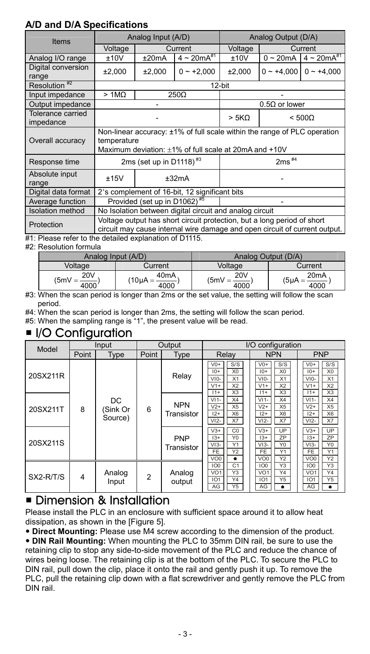### **A/D and D/A Specifications**

| Items                          |                                                                                                                                                  | Analog Input (A/D)                  |                                                                                                                                                       | Analog Output (D/A) |                      |                     |
|--------------------------------|--------------------------------------------------------------------------------------------------------------------------------------------------|-------------------------------------|-------------------------------------------------------------------------------------------------------------------------------------------------------|---------------------|----------------------|---------------------|
|                                | Voltage                                                                                                                                          | Current                             |                                                                                                                                                       | Voltage             | Current              |                     |
| Analog I/O range               | ±10V                                                                                                                                             | ±20mA                               | $4 \sim 20 mA^{*1}$                                                                                                                                   | ±10V                | $0 \sim 20$ mA       | $4 \sim 20 mA^{*1}$ |
| Digital conversion<br>range    | ±2,000                                                                                                                                           | ±2,000                              | $0 - +2,000$                                                                                                                                          | ±2,000              | $0 - +4,000$         | $0 - +4.000$        |
| Resolution <sup>#2</sup>       |                                                                                                                                                  | 12-bit                              |                                                                                                                                                       |                     |                      |                     |
| Input impedance                | >1M <sub>2</sub>                                                                                                                                 |                                     | 250Ω                                                                                                                                                  |                     |                      |                     |
| Output impedance               |                                                                                                                                                  |                                     |                                                                                                                                                       |                     | $0.5\Omega$ or lower |                     |
| Tolerance carried<br>impedance |                                                                                                                                                  |                                     |                                                                                                                                                       |                     |                      | $< 500\Omega$       |
| Overall accuracy               | Non-linear accuracy: ±1% of full scale within the range of PLC operation<br>temperature<br>Maximum deviation: ±1% of full scale at 20mA and +10V |                                     |                                                                                                                                                       |                     |                      |                     |
| Response time                  |                                                                                                                                                  | 2ms (set up in D1118) <sup>#3</sup> |                                                                                                                                                       |                     | $2ms$ #4             |                     |
| Absolute input<br>range        | ±15V                                                                                                                                             | ±32mA                               |                                                                                                                                                       |                     |                      |                     |
| Digital data format            |                                                                                                                                                  |                                     | 2's complement of 16-bit, 12 significant bits                                                                                                         |                     |                      |                     |
| Average function               | Provided (set up in D1062) <sup>#5</sup>                                                                                                         |                                     |                                                                                                                                                       |                     |                      |                     |
| <b>Isolation</b> method        | No Isolation between digital circuit and analog circuit                                                                                          |                                     |                                                                                                                                                       |                     |                      |                     |
| Protection                     |                                                                                                                                                  |                                     | Voltage output has short circuit protection, but a long period of short<br>circuit may cause internal wire damage and open circuit of current output. |                     |                      |                     |

#1: Please refer to the detailed explanation of D1115.

#2: Resolution formula

|                                      | Analog Input (A/D)                       | Analog Output (D/A)            |                                          |  |
|--------------------------------------|------------------------------------------|--------------------------------|------------------------------------------|--|
| Voltage                              | Current                                  | Voltage                        | Current                                  |  |
| 20 <sub>V</sub><br>$(5mV =$<br>4000' | 40 <sub>m</sub> A<br>$10\mu A =$<br>4000 | <b>20V</b><br>$(5mV =$<br>4000 | 20 <sub>m</sub> A<br>$(5\mu A =$<br>4000 |  |

#3: When the scan period is longer than 2ms or the set value, the setting will follow the scan period.

#4: When the scan period is longer than 2ms, the setting will follow the scan period.

#5: When the sampling range is "1", the present value will be read.

### ■ I/O Configuration

| Model     | Input |                           |                | Output                   |                                                                                                                | I/O configuration                                                                                              |                                                                                                                |
|-----------|-------|---------------------------|----------------|--------------------------|----------------------------------------------------------------------------------------------------------------|----------------------------------------------------------------------------------------------------------------|----------------------------------------------------------------------------------------------------------------|
|           | Point | Type                      | Point          | Type                     | Relav                                                                                                          | <b>NPN</b>                                                                                                     | <b>PNP</b>                                                                                                     |
| 20SX211R  |       |                           |                | Relav                    | S/S<br>$V0+$<br>X <sub>0</sub><br>$10+$<br>X1<br>$VIO-$<br>X <sub>2</sub><br>$V1+$<br>X3<br>$11+$              | S/S<br>$V0+$<br>X <sub>0</sub><br>$10+$<br>$VIO-$<br>X1<br>$V1+$<br>X <sub>2</sub><br>X3<br>$11+$              | S/S<br>$V0+$<br>X0<br>$10+$<br>$V10-$<br>X1<br>X <sub>2</sub><br>$V1+$<br>X3<br>$11+$                          |
| 20SX211T  | 8     | DC<br>(Sink Or<br>Source) | 6              | <b>NPN</b><br>Transistor | $V11-$<br>X4<br>X <sub>5</sub><br>$V2+$<br>X <sub>6</sub><br>$12+$<br>X7<br>$VI2-$                             | $V11-$<br>X4<br>$V2+$<br>X <sub>5</sub><br>$12+$<br>X <sub>6</sub><br>X7<br>$VI2-$                             | X4<br>$V11-$<br>X <sub>5</sub><br>$V2+$<br>X <sub>6</sub><br>$12+$<br>$VI2-$<br>X7                             |
| 20SX211S  |       |                           |                | PNP<br>Transistor        | $V3+$<br>$\overline{C}0$<br>Y <sub>0</sub><br>$13+$<br>Y1<br>$VI3-$<br><b>FE</b><br>Y2<br>VO <sub>0</sub><br>٠ | $V3+$<br>UP<br>ZP<br>$13+$<br>$VI3-$<br>Y <sub>0</sub><br><b>FE</b><br>Y1<br>Y <sub>2</sub><br>VO <sub>0</sub> | UP<br>$V3+$<br>ZP<br>$13+$<br>Y <sub>0</sub><br>$VI3-$<br><b>FE</b><br>Y1<br>Y <sub>2</sub><br>VO <sub>0</sub> |
| SX2-R/T/S | 4     | Analog<br>Input           | $\overline{2}$ | Analog<br>output         | 100<br>C1<br>Y3<br>VO <sub>1</sub><br>Y4<br>IO1<br>Y <sub>5</sub><br>AG                                        | 100<br>Y3<br>VO <sub>1</sub><br>Y4<br>Y <sub>5</sub><br>101<br>AG<br>٠                                         | Y3<br>100<br>Y4<br>VO <sub>1</sub><br>Y <sub>5</sub><br>IO <sub>1</sub><br>AG<br>٠                             |

### **Dimension & Installation**

Please install the PLC in an enclosure with sufficient space around it to allow heat dissipation, as shown in the [Figure 5].

**Direct Mounting:** Please use M4 screw according to the dimension of the product.

 **DIN Rail Mounting:** When mounting the PLC to 35mm DIN rail, be sure to use the retaining clip to stop any side-to-side movement of the PLC and reduce the chance of wires being loose. The retaining clip is at the bottom of the PLC. To secure the PLC to DIN rail, pull down the clip, place it onto the rail and gently push it up. To remove the PLC, pull the retaining clip down with a flat screwdriver and gently remove the PLC from DIN rail.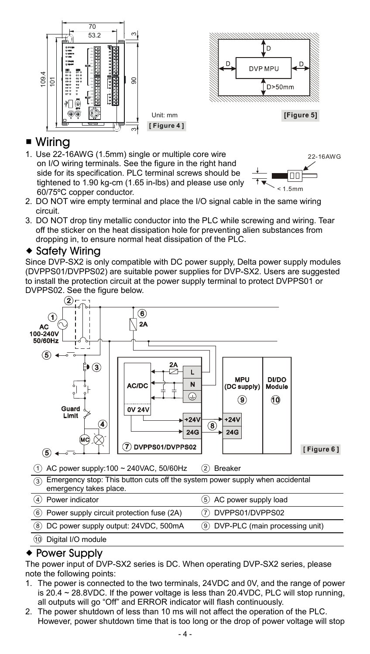

### ■ Wirina

1. Use 22-16AWG (1.5mm) single or multiple core wire on I/O wiring terminals. See the figure in the right hand side for its specification. PLC terminal screws should be tightened to 1.90 kg-cm (1.65 in-lbs) and please use only 60/75ºC copper conductor.



- 2. DO NOT wire empty terminal and place the I/O signal cable in the same wiring circuit.
- 3. DO NOT drop tiny metallic conductor into the PLC while screwing and wiring. Tear off the sticker on the heat dissipation hole for preventing alien substances from dropping in, to ensure normal heat dissipation of the PLC.

#### $\triangle$  Safety Wiring

Since DVP-SX2 is only compatible with DC power supply, Delta power supply modules (DVPPS01/DVPPS02) are suitable power supplies for DVP-SX2. Users are suggested to install the protection circuit at the power supply terminal to protect DVPPS01 or DVPPS02. See the figure below.



○<sup>10</sup> Digital I/O module

### Power Supply

The power input of DVP-SX2 series is DC. When operating DVP-SX2 series, please note the following points:

- 1. The power is connected to the two terminals, 24VDC and 0V, and the range of power is  $20.4 \sim 28.8$ VDC. If the power voltage is less than  $20.4$ VDC, PLC will stop running. all outputs will go "Off" and ERROR indicator will flash continuously.
- 2. The power shutdown of less than 10 ms will not affect the operation of the PLC. However, power shutdown time that is too long or the drop of power voltage will stop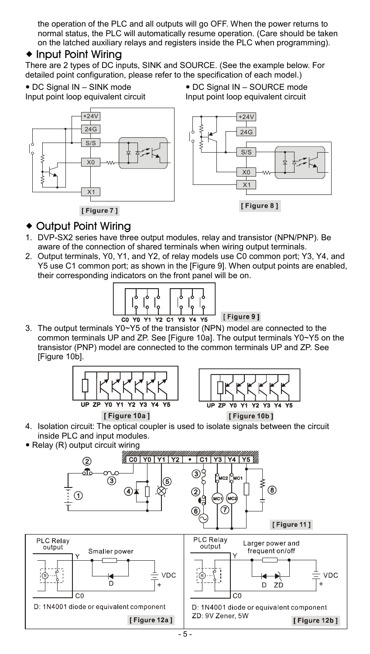the operation of the PLC and all outputs will go OFF. When the power returns to normal status, the PLC will automatically resume operation. (Care should be taken on the latched auxiliary relays and registers inside the PLC when programming).

### $\bullet$  Input Point Wiring

There are 2 types of DC inputs, SINK and SOURCE. (See the example below. For detailed point configuration, please refer to the specification of each model.)

DC Signal IN – SINK mode

Input point loop equivalent circuit



 DC Signal IN – SOURCE mode Input point loop equivalent circuit



#### ◆ Output Point Wiring

- 1. DVP-SX2 series have three output modules, relay and transistor (NPN/PNP). Be aware of the connection of shared terminals when wiring output terminals.
- 2. Output terminals, Y0, Y1, and Y2, of relay models use C0 common port; Y3, Y4, and Y5 use C1 common port; as shown in the [Figure 9]. When output points are enabled, their corresponding indicators on the front panel will be on.



3. The output terminals Y0~Y5 of the transistor (NPN) model are connected to the common terminals UP and ZP. See [Figure 10a]. The output terminals Y0~Y5 on the transistor (PNP) model are connected to the common terminals UP and ZP. See [Figure 10b].



[Figure 10a]



- 4. Isolation circuit: The optical coupler is used to isolate signals between the circuit inside PLC and input modules.
- Relay (R) output circuit wiring

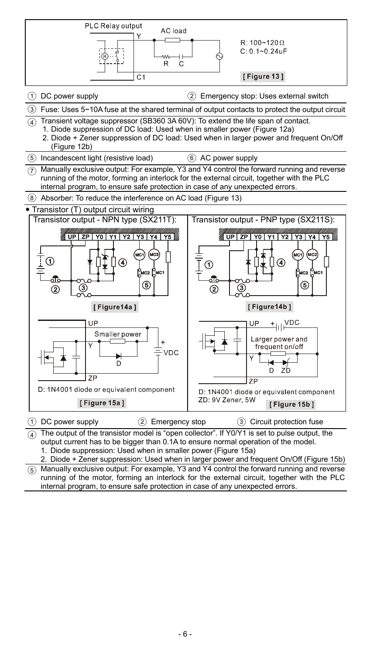

The output of the transistor model is "open collector". If Y0/Y1 is set to pulse output, the output current has to be bigger than 0.1A to ensure normal operation of the model. 1. Diode suppression: Used when in smaller power (Figure 15a)

2. Diode + Zener suppression: Used when in larger power and frequent On/Off (Figure 15b)

Manually exclusive output: For example, Y3 and Y4 control the forward running and reverse running of the motor, forming an interlock for the external circuit, together with the PLC internal program, to ensure safe protection in case of any unexpected errors.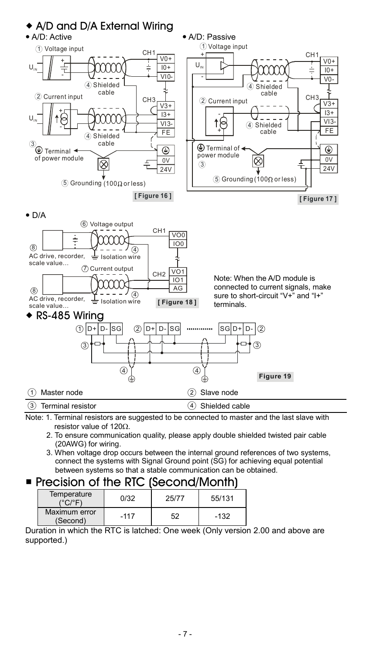

Note: 1. Terminal resistors are suggested to be connected to master and the last slave with resistor value of  $120\Omega$ .

- 2. To ensure communication quality, please apply double shielded twisted pair cable (20AWG) for wiring.
- 3. When voltage drop occurs between the internal ground references of two systems, connect the systems with Signal Ground point (SG) for achieving equal potential between systems so that a stable communication can be obtained.

### **Precision of the RTC (Second/Month)**

| Temperature<br>(°C/°F)    | 0/32   | 25/77 | 55/131 |
|---------------------------|--------|-------|--------|
| Maximum error<br>(Second) | $-117$ | 52    | $-132$ |

Duration in which the RTC is latched: One week (Only version 2.00 and above are supported.)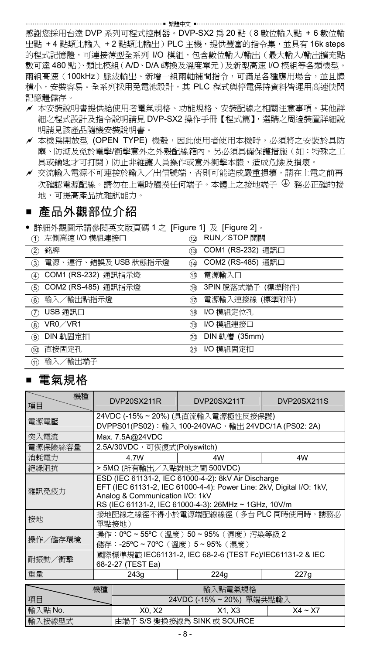感謝您採用台達 DVP 系列可程式控制器。DVP-SX2 為 20 點(8 數位輸入點 + 6 數位輸 出點 + 4 點類比輸入 + 2 點類比輸出)PLC 主機,提供豐富的指令集,並具有 16k steps 的程式記憶體,可連接薄型全系列 I/O 模組,包含數位輸入/輸出(最大輸入/輸出擴充點 數可達 480 點)、類比模組(A/D、D/A 轉換及溫度單元)及新型高速 I/O 模組等各類機型。 兩組高速(100kHz)脈波輸出、新增一組兩軸補間指令,可滿足各種應用場合,並且體 積小,安裝容易。全系列採用免電池設計,其 PLC 程式與停電保持資料皆運用高速快閃 記憶體儲存。

- 本安裝說明書提供給使用者電氣規格、功能規格、安裝配線之相關注意事項。其他詳 細之程式設計及指令說明請見 DVP-SX2 操作手冊【程式篇】,選購之周邊裝置詳細說 明請見該產品隨機安裝說明書。
- ✔ 本機為開放型 (OPEN TYPE) 機殼,因此使用者使用本機時,必須將之安裝於具防 塵、防潮及免於電擊/衝擊意外之外殼配線箱內。另必須具備保護措施(如:特殊之工 具或鑰匙才可打開)防止非維護人員操作或意外衝擊本體,造成危險及損壞。
- 交流輸入電源不可連接於輸入/出信號端,否則可能造成嚴重損壞,請在上電之前再 次確認電源配線。請勿在上電時觸摸任何端子。本體上之接地端子  $\Theta$  務必正確的接 地,可提高產品抗雜訊能力。

### ■ 產品外觀部位介紹

詳細外觀圖示請參閱英文版頁碼 1 之 [Figure 1] 及 [Figure 2]。

| 左側高速 I/O 模組連接口      | <b>RUN/STOP 開關</b> |
|---------------------|--------------------|
| O.                  | (12)               |
| 銘牌                  | COM1 (RS-232) 通訊口  |
| $\circled{2}$       | (13)               |
| 電源、運行、錯誤及 USB 狀態指示燈 | COM2 (RS-485) 通訊口  |
| ③                   | (14)               |
| COM1 (RS-232) 通訊指示燈 | 電源輸入口              |
| G)                  | G)                 |
| COM2 (RS-485) 通訊指示燈 | 3PIN 脫落式端子 (標準附件)  |
| 5)                  | 16                 |
| 輸入/輸出點指示燈           | 電源輸入連接線 (標準附件)     |
| 6)                  | (17)               |
| USB 通訊口             | I/O 模組定位孔          |
| (7)                 | 18                 |
| VR0/VR1             | I/O 模組連接口          |
| $\circledast$       | 19                 |
| DIN 軌固定扣            | DIN 軌槽 (35mm)      |
| 9)                  | 60                 |
| 直接固定孔               | I/O 模組固定扣          |
| 10                  | 21)                |
| 輸入/輸出端子<br>GD       |                    |

### 電氣規格

| 機種<br>項目 |                                                                                          | DVP20SX211R                                                                                                                                                                                                            | DVP20SX211T                                                                 | DVP20SX211S |  |  |
|----------|------------------------------------------------------------------------------------------|------------------------------------------------------------------------------------------------------------------------------------------------------------------------------------------------------------------------|-----------------------------------------------------------------------------|-------------|--|--|
| 電源電壓     | 24VDC (-15%~20%) (具直流輸入電源極性反接保護)<br>DVPPS01(PS02): 輸入 100-240VAC, 輸出 24VDC/1A (PS02: 2A) |                                                                                                                                                                                                                        |                                                                             |             |  |  |
| 突入電流     |                                                                                          | Max. 7.5A@24VDC                                                                                                                                                                                                        |                                                                             |             |  |  |
| 電源保險絲容量  |                                                                                          | 2.5A/30VDC,可恢復式(Polyswitch)                                                                                                                                                                                            |                                                                             |             |  |  |
| 消耗電力     |                                                                                          | 4.7W                                                                                                                                                                                                                   | 4W                                                                          | 4W          |  |  |
| 絕緣阻抗     |                                                                                          | > 5MΩ (所有輸出/入點對地之間 500VDC)                                                                                                                                                                                             |                                                                             |             |  |  |
| 雜訊孕疫力    |                                                                                          | ESD (IEC 61131-2, IEC 61000-4-2): 8kV Air Discharge<br>EFT (IEC 61131-2, IEC 61000-4-4): Power Line: 2kV, Digital I/O: 1kV,<br>Analog & Communication I/O: 1kV<br>RS (IEC 61131-2, IEC 61000-4-3): 26MHz ~ 1GHz, 10V/m |                                                                             |             |  |  |
| 接地       |                                                                                          | 接地配線之線徑不得小於電源端配線線徑 (多台 PLC 同時使用時,請務必<br>單點接地)                                                                                                                                                                          |                                                                             |             |  |  |
| 操作/儲存環境  |                                                                                          |                                                                                                                                                                                                                        | 操作: 0°C ~ 55°C (溫度) 50 ~ 95% (濕度) 污染等級 2<br>儲存:-25°C ~ 70°C (溫度) 5~95% (濕度) |             |  |  |
| 耐振動/衝擊   | 國際標準規範 IEC61131-2, IEC 68-2-6 (TEST Fc)/IEC61131-2 & IEC<br>68-2-27 (TEST Ea)            |                                                                                                                                                                                                                        |                                                                             |             |  |  |
| 重量       | 243q<br>224q<br>227g                                                                     |                                                                                                                                                                                                                        |                                                                             |             |  |  |
|          | 輸入點電氣規格<br>機種                                                                            |                                                                                                                                                                                                                        |                                                                             |             |  |  |
| 項目       | 24VDC (-15%~20%) 單端共點輸入                                                                  |                                                                                                                                                                                                                        |                                                                             |             |  |  |
| 輸入點 No.  | X0. X2<br>X1. X3<br>$X4 - X7$                                                            |                                                                                                                                                                                                                        |                                                                             |             |  |  |
| 輸入接線型式   | 由端子 S/S 變換接線為 SINK 或 SOURCE                                                              |                                                                                                                                                                                                                        |                                                                             |             |  |  |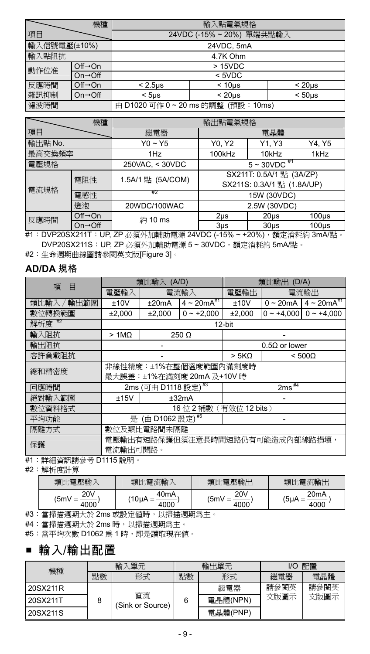|              | 機種                          | 輸入點電氣規格                                                |  |  |  |  |
|--------------|-----------------------------|--------------------------------------------------------|--|--|--|--|
| 項目           |                             | 24VDC (-15%~20%) 單端共點輸入                                |  |  |  |  |
| 輸入信號電壓(±10%) |                             | 24VDC, 5mA                                             |  |  |  |  |
| 輸入點阻抗        |                             | 4.7K Ohm                                               |  |  |  |  |
| 動作位准         | $Off \rightarrow On$        | >15VDC                                                 |  |  |  |  |
|              | $On \rightarrow \text{Off}$ | $<$ 5VDC                                               |  |  |  |  |
| 反應時間         | $Off \rightarrow On$        | $< 2.5$ us<br>< 20 <sub>us</sub><br>< 10 <sub>us</sub> |  |  |  |  |
| 雜訊抑制         | $On \rightarrow \text{Off}$ | < 50 <sub>us</sub><br>< 20 <sub>us</sub><br>$<$ 5us    |  |  |  |  |
| 濾波時間         |                             | 由 D1020 可作 0~20 ms 的調整 (預設:10ms)                       |  |  |  |  |

|                    | 機種                          |                   | 輸出點電氣規格                                                |                   |          |
|--------------------|-----------------------------|-------------------|--------------------------------------------------------|-------------------|----------|
| 項目                 |                             | 繼電器               | 電晶體                                                    |                   |          |
| 輸出點 No.            |                             | $Y0 \sim Y5$      | Y1, Y3<br>Y0, Y2                                       |                   | Y4, Y5   |
| 最高交換頻率             |                             | 1Hz               | 100kHz                                                 | 10kHz             | 1kHz     |
| 電壓規格               |                             | 250VAC, < 30VDC   | $5 - 30VDC$ <sup>#1</sup>                              |                   |          |
| 電阻性<br>電流規格<br>電感性 |                             | 1.5A/1 點 (5A/COM) | SX211T: 0.5A/1 點 (3A/ZP)<br>SX211S: 0.3A/1 點 (1.8A/UP) |                   |          |
|                    |                             | ĦΖ                | 15W (30VDC)                                            |                   |          |
| 燈泡                 |                             | 20WDC/100WAC      | 2.5W (30VDC)                                           |                   |          |
| 反應時間               | $Off \rightarrow On$        | 約10 ms            | 2 <sub>µ</sub> s                                       | 20 <sub>µ</sub> s | $100µ$ s |
|                    | $On \rightarrow \text{Off}$ |                   | $3µ$ s                                                 | $30u$ s           | $100µ$ s |

#1: DVP20SX211T: UP, ZP 必須外加輔助電源 24VDC (-15% ~ +20%), 額定消耗約 3mA/點。 DVP20SX211S: UP, ZP 必須外加輔助電源 5~30VDC, 額定消耗約 5mA/點。

#2:生命週期曲線圖請參閱英文版[Figure 3]。

### **AD/DA** 規格

| 項<br>Е       | (A/D)<br>類比輸入                   |                                 |                           | (D/A)<br>類比輪出        |                     |                     |
|--------------|---------------------------------|---------------------------------|---------------------------|----------------------|---------------------|---------------------|
|              | 電壓輸入                            |                                 | 電流輸入                      | 電壓輸出                 |                     | 電流輸出                |
| 輸出範圍<br>類比輸入 | ±10V                            | ±20mA                           | $4 \sim 20 mA^{*1}$       | ±10V                 | $0 \sim 20$ mA      | $4 \sim 20 mA^{#1}$ |
| 數位轉換範圍       | ±2,000                          | ±2,000                          | $0 - +2.000$              | ±2,000               | $0 - +4.000$        | $0 - +4.000$        |
| 解析度 #2       |                                 |                                 |                           | 12-bit               |                     |                     |
| 輸入阻抗         | $>1M\Omega$                     |                                 | 250 Ω                     |                      |                     |                     |
| 輸出阻抗         |                                 |                                 |                           | $0.5\Omega$ or lower |                     |                     |
| 容許負載阻抗       |                                 |                                 |                           | > 5K <sub>Ω</sub>    |                     | $< 500\Omega$       |
| 總和精密度        | 非線性精度:±1%在整個溫度範圍內滿刻度時           |                                 |                           |                      |                     |                     |
|              |                                 |                                 | 最大誤差:±1%在滿刻度 20mA 及+10V 時 |                      |                     |                     |
| 回應時間         |                                 | 2ms (可由 D1118 設定) <sup>#3</sup> |                           |                      | $2ms$ <sup>#4</sup> |                     |
| 絕對輸入範圍       | ±15V                            |                                 | ±32mA                     | ۰                    |                     |                     |
| 數位資料格式       |                                 |                                 | 16 位 2 補數 (有效位 12 bits)   |                      |                     |                     |
| 平均功能         | 是 (由 D1062 設定) <sup>#5</sup>    |                                 |                           |                      |                     |                     |
| 隔離方式         | 數位及類比電路間未隔離                     |                                 |                           |                      |                     |                     |
| 保護           | 電壓輸出有短路保護但須注意長時間短路仍有可能造成內部線路損壞, |                                 |                           |                      |                     |                     |
|              | 電流輸出可開路。                        |                                 |                           |                      |                     |                     |

#1:詳細資訊請參考 D1115 說明。

#2:解析度計算

| 類比電壓輸           | 類比電流輸             | 厭論出<br>土笛<br>類比 | 類比電流輸出            |
|-----------------|-------------------|-----------------|-------------------|
| 20 <sub>V</sub> | 40 <sub>m</sub> A | <b>20V</b>      | 20 <sub>m</sub> A |
| '5m\            | 10uA              | '5m\            | (5µA              |
| 4000            | 000               | 4000            | 4000              |

#3:當掃描週期大於 2ms 或設定值時,以掃描週期為主。

#4:當掃描週期大於 2ms 時,以掃描週期為主。

#5:當平均次數 D1062 為 1 時,即是讀取現在值。

### 輸入/輸出配置

| 機種       | 單元<br>輸 |                        | 輸出單元 |          | 配置<br>I/O |      |
|----------|---------|------------------------|------|----------|-----------|------|
|          | 點數      | 形式                     | 點數   | 形式       | 繼電器       | 雷晶體  |
| 20SX211R |         |                        |      | 繼電器      | 請參閱英      | 請參閱英 |
| 20SX211T | 8       | 直流<br>(Sink or Source) | 6    | 電晶體(NPN) | 文版圖示      | 文版圖示 |
| 20SX211S |         |                        |      | 電晶體(PNP) |           |      |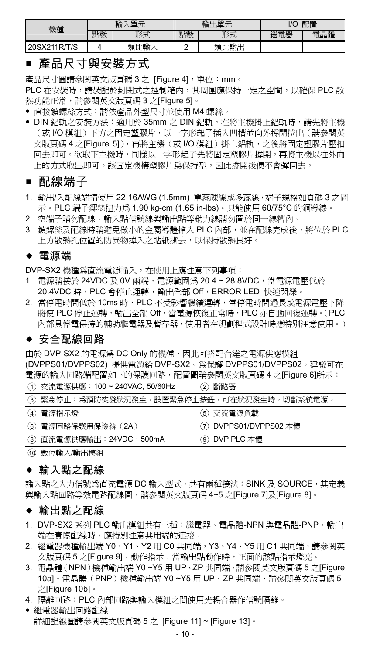| 機種           | 單元<br>輸 |      | 輸出單元 |         | 配置<br>1/C            |                  |
|--------------|---------|------|------|---------|----------------------|------------------|
|              | 點數      | 形式   | 點數   | 形式<br>w | 180 98<br>5096<br>电命 | 12-44<br>雷<br>温體 |
| 20SX211R/T/S |         | 類比輸入 |      | 類比輸出    |                      |                  |

### ■ 產品尺寸與安裝方式

產品尺寸圖請參閱英文版頁碼 3 之 [Figure 4], 單位: mm。

PLC 在安裝時,請裝配於封閉式之控制箱內,其周圍應保持一定之空間,以確保 PLC 散 熱功能正常,請參閱英文版頁碼 3 之[Figure 5]。

- 直接鎖螺絲方式:請依產品外型尺寸並使用 M4 螺絲。
- DIN 鋁軌之安裝方法:適用於 35mm 之 DIN 鋁軌。在將主機掛上鋁軌時,請先將主機 (或 I/O 模組)下方之固定塑膠片,以一字形起子插入凹槽並向外撐開拉出(請參閱英 文版頁碼 4 之[Figure 5]),再將主機(或 I/O 模組)掛上鋁軌,之後將固定塑膠片壓扣 回去即可。欲取下主機時,同樣以一字形起子先將固定塑膠片撐開,再將主機以往外向 上的方式取出即可。該固定機構塑膠片為保持型,因此撐開後便不會彈回去。

### ■ 配線端子

- 1. 輸出/入配線端請使用 22-16AWG (1.5mm) 單蕊課線或多蕊線,端子規格如頁碼 3 之圖 示。PLC 端子鏍絲扭力為 1.90 kg-cm (1.65 in-lbs)。只能使用 60/75°C 的銅導線。
- 2. 空端子請勿配線。輸入點信號線與輸出點等動力線請勿置於同一線糟內。
- 3. 鎖鏍絲及配線時請避免微小的金屬導體掉入 PLC 內部,並在配線完成後,將位於 PLC 上方散熱孔位置的防異物掉入之貼紙撕去,以保持散熱良好。

#### 電源端

DVP-SX2 機種為直流電源輸入,在使用上應注意下列事項:

 $\Omega$   $\pi$   $\in$   $\mathbb{R}$   $\in$   $\mathbb{R}$   $\in$   $\mathbb{R}$   $\in$   $\mathbb{R}$   $\in$   $\mathbb{R}$   $\in$   $\mathbb{R}$   $\in$   $\mathbb{R}$   $\in$   $\mathbb{R}$   $\in$   $\mathbb{R}$   $\in$   $\mathbb{R}$   $\in$   $\mathbb{R}$   $\in$   $\mathbb{R}$   $\in$   $\mathbb{R}$   $\in$   $\mathbb{R}$   $\in$   $\mathbb{R}$ 

- 1. 電源請接於 24VDC及 0V 兩端,雷源範圍為 20.4~28.8VDC,當電源電壓低於 20.4VDC 時,PLC 會停止運轉,輸出全部 Off,ERROR LED 快速閃爍。
- 2. 當停電時間低於 10ms 時, PLC 不受影響繼續運轉,當停電時間過長或電源電壓下降 將使 PLC 停止運轉,輸出全部 Off,當電源恢復正常時,PLC 亦自動回復運轉。(PLC 內部具停電保持的輔助繼電器及暫存器,使用者在規劃程式設計時應特別注意使用。)

### ◆ 安全配線回路

由於 DVP-SX2 的電源為 DC Only 的機種,因此可搭配台達之電源供應模組 (DVPPS01/DVPPS02) 提供電源給 DVP-SX2。為保護 DVPPS01/DVPPS02,建議可在 電源的輸入回路端配置如下的保護回路,配置圖請參閱英文版頁碼 4 之[Figure 6]所示:

| √1/ 父流电源恍應 · 100 <sup>~</sup> Z40VAC, 30/60HZ | (4) 脚踏奋                |
|-----------------------------------------------|------------------------|
| (3)緊急停止:為預防突發狀況發生,設置緊急停止按鈕,可在狀況發生時,切斷系統電源。    |                        |
| (4) 電源指示燈                                     | (5)交流電源負載              |
| 6 電源回路保護用保險絲 (2A)                             | (7) DVPPS01/DVPPS02 本體 |
| (8) 直流電源供應輸出:24VDC,500mA                      | ⑨ DVP PLC 本體           |
| 10 數位輸入/輸出模組                                  |                        |

### ◆ 輸入點之配線

輸入點之入力信號為直流電源 DC 輸入型式,共有兩種接法:SINK 及 SOURCE,其定義 與輸入點回路等效電路配線圖,請參閱英文版頁碼 4~5 之[Figure 7]及[Figure 8]。

#### 輸出點之配線

- 1. DVP-SX2 系列 PLC 輸出模組共有三種:繼電器、電晶體-NPN 與電晶體-PNP。輸出 端在實際配線時,應特別注意共用端的連接。
- 2. 繼電器機種輸出端 Y0、Y1、Y2 用 C0 共同端,Y3、Y4、Y5 用 C1 共同端,請參閱英 文版頁碼 5 之[Figure 9]。動作指示:當輸出點動作時,正面的該點指示燈亮。
- 3. 電晶體(NPN)機種輸出端 Y0 ~Y5 用 UP、ZP 共同端,請參閱英文版頁碼 5 之[Figure 10a]。雷晶體(PNP)機種輸出端 Y0~Y5 用 UP、ZP 共同端,請參閱英文版頁碼 5 之[Figure 10b]。
- 4. 隔離回路:PLC 內部回路與輸入模組之間使用光耦合器作信號隔離。
- 繼電器輸出回路配線 詳細配線圖請參閱英文版頁碼 5 之 [Figure 11] ~ [Figure 13]。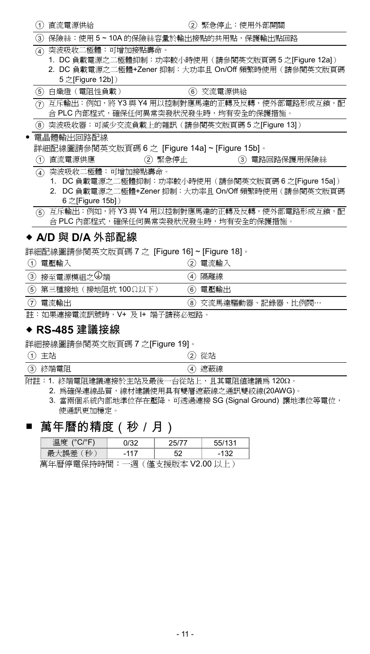| (1)              | 直流電源供給                               | $\left( 2\right)$                              | 緊急停止:使用外部開關                                                                                              |  |
|------------------|--------------------------------------|------------------------------------------------|----------------------------------------------------------------------------------------------------------|--|
| 3.               |                                      |                                                | 保險絲:使用 5~10A 的保險絲容量於輸出接點的共用點,保護輸出點回路                                                                     |  |
| $\circledast$    | 突波吸收二極體:可增加接點壽命。<br>5 之[Figure 12b]) |                                                | 1. DC 負載電源之二極體抑制:功率較小時使用(請參閱英文版頁碼 5 之[Figure 12a])<br>2. DC 負載電源之二極體+Zener 抑制:大功率且 On/Off 頻繁時使用(請參閱英文版頁碼 |  |
| (5)              | 白熾燈 (電阻性負載)                          | (6)                                            | 交流電源供給                                                                                                   |  |
| ຈ                |                                      |                                                | 互斥輸出:例如,將 Y3 與 Y4 用以控制對應馬達的正轉及反轉,使外部電路形成互鎖,配<br>合 PLC 內部程式,確保任何異常突發狀況發生時,均有安全的保護措施。                      |  |
| (8)              |                                      |                                                | 突波吸收器:可減少交流負載上的雜訊(請參閱英文版頁碼5之[Figure 13])                                                                 |  |
|                  | 電晶體輸出回路配線                            | 詳細配線圖請參閱英文版頁碼 6 之 [Figure 14a] ~ [Figure 15b]。 |                                                                                                          |  |
| 1                | 直流電源供應                               | 緊急停止<br>$\rm(2)$                               | 電路回路保護用保險絲<br>(3)                                                                                        |  |
| $\left(4\right)$ | 突波吸收二極體:可增加接點壽命。                     |                                                |                                                                                                          |  |
| 1.<br>2.         | 6 之[Figure 15b])                     |                                                | DC 負載電源之二極體抑制:功率較小時使用(請參閱英文版頁碼 6 之[Figure 15a])<br>DC 負載電源之二極體+Zener 抑制:大功率且 On/Off 頻繁時使用 ( 請參閱英文版頁碼     |  |
| (5)              |                                      |                                                | - 互斥輸出:例如,將 Y3 與 Y4 用以控制對應馬達的正轉及反轉,使外部電路形成互鎖,配<br>合 PLC 內部程式,確保任何異常突發狀況發生時,均有安全的保護措施。                    |  |

### ◆ A/D 與 D/A 外部配線

詳細配線圖請參閱英文版頁碼 7 之 [Figure 16] ~ [Figure 18]。

| 電壓輸入<br>$\left( 1\right)$ | 電流輸入<br>2)         |
|---------------------------|--------------------|
| ③ 接至電源模組之→端               | 隔離線<br>4)          |
| (5) 第三種接地 (接地阻坑 100Ω以下)   | 雷壓輸出<br>6)         |
| (7)<br>電流輸出               | ⑧ 交流馬達驅動器、記錄器、比例閥… |

註:如果連接電流訊號時,V+ 及 I+ 端子請務必短路。

### **RS-485** 建議接線

詳細接線圖請參閱英文版頁碼 7 之[Figure 19]。

○<sup>1</sup> 主站 ○<sup>2</sup> 從站

**(3) 終端電阻 (4) 遮蔽線** 附註:1. 終端電阻建議連接於主站及最後一台從站上,且其電阻值建議為 120。

2. 為確保連線品質,線材建議使用具有雙層遮蔽線之通訊雙絞線(20AWG)。

3. 當兩個系統內部地準位存在壓降,可透過連接 SG (Signal Ground) 讓地準位等電位, 使通訊更加穩定。

### ■ 萬年曆的精度(秒 / 月)

| 溫度 (°C/°F)                        | 0/32   |  |  |  |  |  |
|-----------------------------------|--------|--|--|--|--|--|
|                                   | $-117$ |  |  |  |  |  |
| 苗左庭店爱瓜+地租日· 、国 /度士+砂吃+11/2.00 N L |        |  |  |  |  |  |

萬年曆停電保持時間:一週(僅支援版本 V2.00 以上)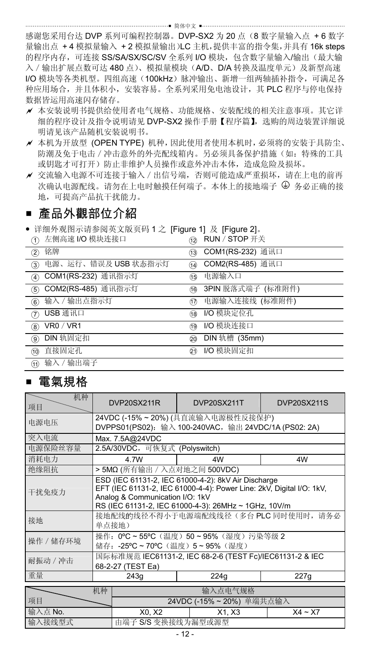感谢您采用台达 DVP 系列可编程控制器。DVP-SX2 为 20 点(8 数字量输入点 + 6 数字 量输出点 +4 模拟量输入 +2 模拟量输出)LC 主机,提供丰富的指令集,并具有 16k steps 的程序内存,可连接 SS/SA/SX/SC/SV 全系列 I/O 模块,包含数字量输入/输出(最大输 入 / 输出扩展点数可达 480 点)、模拟量模块(A/D、D/A 转换及温度单元)及新型高速 I/O 模块等各类机型。四组高速(100kHz)脉冲输出、新增一组两轴插补指令,可满足各 种应用场合,并且体积小,安装容易。全系列采用免电池设计,其 PLC 程序与停电保持 数据皆运用高速闪存储存。

- 本安装说明书提供给使用者电气规格、功能规格、安装配线的相关注意事项。其它详 细的程序设计及指令说明请见 DVP-SX2 操作手册【程序篇】,选购的周边装置详细说 明请见该产品随机安装说明书。
- 本机为开放型 (OPEN TYPE) 机种,因此使用者使用本机时,必须将的安装于具防尘、 防潮及免于电击/冲击意外的外壳配线箱内。另必须具备保护措施(如:特殊的工具 或钥匙才可打开)防止非维护人员操作或意外冲击本体,造成危险及损坏。
- 交流输入电源不可连接于输入/出信号端,否则可能造成严重损坏,请在上电的前再 次确认电源配线。请勿在上电时触摸任何端子。本体上的接地端子 9 务必正确的接 地,可提高产品抗干扰能力。

### ■ 產品外觀部位介紹

● 详细外观图示请参阅英文版页码 1 之 [Figure 1] 及 [Figure 2]。

| 左侧高速 I/O 模块连接口      | RUN / STOP 开关     |
|---------------------|-------------------|
| n                   | 12                |
| 铭牌                  | COM1(RS-232) 通讯口  |
| $\circled{2}$       | (13)              |
| 电源、运行、错误及 USB 状态指示灯 | COM2(RS-485) 通讯口  |
| ③                   | 14)               |
| COM1(RS-232) 通讯指示灯  | 电源输入口             |
| $\left(4\right)$    | 46                |
| COM2(RS-485) 通讯指示灯  | 3PIN 脱落式端子 (标准附件) |
| 5)                  | 16                |
| 输入 / 输出点指示灯         | 电源输入连接线 (标准附件)    |
| $\widehat{6}$       | 177               |
| USB 通讯口             | I/O 模块定位孔         |
| 7                   | 18                |
| VR0 / VR1           | I/O 模块连接口         |
| $\circledR$         | 19                |
| DIN 轨固定扣            | DIN 轨槽 (35mm)     |
| ଭ                   | 20                |
| 直接固定孔               | I/O 模块固定扣         |
| (10)                | éî)               |
| 输入 / 输出端子<br>M)     |                   |

### ■ 雷氣規格

| 机种<br>项目  |                                                                                | DVP20SX211R                                                                                                                                                                                                            | DVP20SX211T                                          | DVP20SX211S |  |  |
|-----------|--------------------------------------------------------------------------------|------------------------------------------------------------------------------------------------------------------------------------------------------------------------------------------------------------------------|------------------------------------------------------|-------------|--|--|
| 电源电压      |                                                                                | 24VDC (-15% ~ 20%) (具直流输入电源极性反接保护)                                                                                                                                                                                     |                                                      |             |  |  |
|           |                                                                                |                                                                                                                                                                                                                        | DVPPS01(PS02): 输入 100-240VAC, 输出 24VDC/1A (PS02: 2A) |             |  |  |
| 突入电流      |                                                                                | Max. 7.5A@24VDC                                                                                                                                                                                                        |                                                      |             |  |  |
| 电源保险丝容量   |                                                                                | 2.5A/30VDC, 可恢复式 (Polyswitch)                                                                                                                                                                                          |                                                      |             |  |  |
| 消耗电力      |                                                                                | 4.7W                                                                                                                                                                                                                   | 4W                                                   | 4W          |  |  |
| 绝缘阻抗      |                                                                                | > 5MΩ (所有输出 / 入点对地之间 500VDC)                                                                                                                                                                                           |                                                      |             |  |  |
| 干扰免疫力     |                                                                                | ESD (IEC 61131-2, IEC 61000-4-2): 8kV Air Discharge<br>EFT (IEC 61131-2, IEC 61000-4-4): Power Line: 2kV, Digital I/O: 1kV,<br>Analog & Communication I/O: 1kV<br>RS (IEC 61131-2, IEC 61000-4-3): 26MHz ~ 1GHz, 10V/m |                                                      |             |  |  |
| 接地        |                                                                                | 接地配线的线径不得小于电源端配线线径(多台 PLC 同时使用时, 请务必<br>单点接地)                                                                                                                                                                          |                                                      |             |  |  |
| 操作 / 储存环境 | 操作: 0°C ~ 55°C (温度) 50 ~ 95% (湿度) 污染等级 2<br>储存: -25°C ~ 70°C (温度) 5 ~ 95% (湿度) |                                                                                                                                                                                                                        |                                                      |             |  |  |
| 耐振动 / 冲击  | 国际标准规范 IEC61131-2, IEC 68-2-6 (TEST Fc)/IEC61131-2 & IEC<br>68-2-27 (TEST Ea)  |                                                                                                                                                                                                                        |                                                      |             |  |  |
| 重量        | 227g<br>243q<br>224g                                                           |                                                                                                                                                                                                                        |                                                      |             |  |  |
|           | 输入点电气规格<br>机种                                                                  |                                                                                                                                                                                                                        |                                                      |             |  |  |
| 项目        |                                                                                |                                                                                                                                                                                                                        |                                                      |             |  |  |
|           | 24VDC (-15%~20%) 单端共点输入                                                        |                                                                                                                                                                                                                        |                                                      |             |  |  |
| 输入点 No.   |                                                                                | X0. X2<br>X1. X3<br>$X4 - X7$                                                                                                                                                                                          |                                                      |             |  |  |
| 输入接线型式    |                                                                                | 由端子 S/S 变换接线为漏型或源型                                                                                                                                                                                                     |                                                      |             |  |  |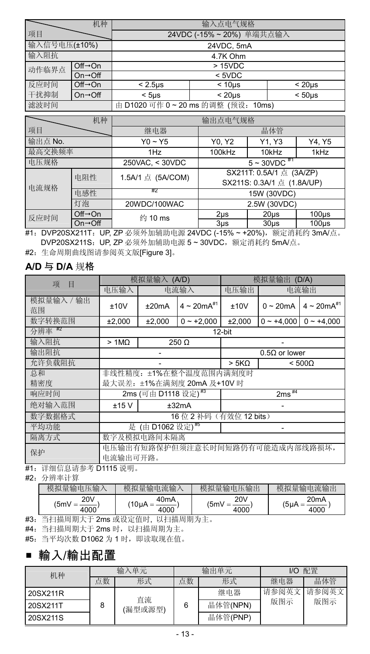|                                           | 机种                           | 输入点电气规格                              |           |              |  |
|-------------------------------------------|------------------------------|--------------------------------------|-----------|--------------|--|
| 项目                                        |                              | 24VDC (-15%~20%) 单端共点输入              |           |              |  |
| 输入信号电压(±10%)                              |                              | 24VDC, 5mA                           |           |              |  |
| 输入阻抗                                      |                              | 4.7K Ohm                             |           |              |  |
| 动作临界点                                     | $Off \rightarrow On$         | >15VDC                               |           |              |  |
|                                           | $On \rightarrow \bigcirc ff$ |                                      | $<$ 5VDC  |              |  |
| 反应时间                                      | $Off \rightarrow On$         | $< 2.5$ us                           | $< 10µ$ s | $< 20 \mu s$ |  |
| 干扰抑制                                      | $On \rightarrow \text{Off}$  | $< 20 \mu s$<br>$< 50µ$ s<br>$<$ 5us |           |              |  |
| 滤波时间<br>由 D1020 可作 0~20 ms 的调整 (预设: 10ms) |                              |                                      |           |              |  |

|             | 机种                           |                   | 输出点电气规格                                                |                   |          |
|-------------|------------------------------|-------------------|--------------------------------------------------------|-------------------|----------|
| 项目          |                              | 继电器               | 晶体管                                                    |                   |          |
| 输出点 No.     |                              | $Y0 - Y5$         | Y1, Y3<br>Y0, Y2<br>Y4, Y5                             |                   |          |
| 最高交换频率      |                              | 1Hz               | 100kHz<br>1kHz<br>10kHz                                |                   |          |
| 电压规格        |                              | 250VAC, < 30VDC   | $5 - 30VDC$ #1                                         |                   |          |
| 电阻性<br>电流规格 |                              | 1.5A/1 点 (5A/COM) | SX211T: 0.5A/1 点 (3A/ZP)<br>SX211S: 0.3A/1 点 (1.8A/UP) |                   |          |
| 电感性         |                              | #2                | 15W (30VDC)                                            |                   |          |
| 灯泡          |                              | 20WDC/100WAC      | 2.5W (30VDC)                                           |                   |          |
| 反应时间        | $Off \rightarrow On$         | 约 10 ms           | 2 <sub>µ</sub> s                                       | 20 <sub>µ</sub> s | $100µ$ s |
|             | $On \rightarrow \bigcirc ff$ |                   | $3µ$ s                                                 | $30µ$ s           | $100µ$ s |

#1: DVP20SX211T: UP, ZP 必须外加辅助电源 24VDC (-15% ~ +20%), 额定消耗约 3mA/点。 DVP20SX211S: UP, ZP 必须外加辅助电源 5~30VDC, 额定消耗约 5mA/点。

#2:生命周期曲线图请参阅英文版[Figure 3]。

#### **A/D** 与 **D/A** 规格

| 项<br>目           | 模拟量输入 (A/D)            |                                 |                                 | 模拟量输出 (D/A)          |                |                                 |  |
|------------------|------------------------|---------------------------------|---------------------------------|----------------------|----------------|---------------------------------|--|
|                  | 电压输入                   |                                 | 电流输入                            | 电压输出                 |                | 电流输出                            |  |
| 模拟量输入 / 输出<br>范围 | ±10V                   | $4 \sim 20 mA^{*1}$<br>±20mA    |                                 | ±10V                 | $0 \sim 20$ mA | $4 \sim 20 mA^{#1}$             |  |
| 数字转换范围           | ±2,000                 | $0 - +2.000$<br>±2,000          |                                 | ±2,000               |                | $0 \sim +4.000$ 0 $\sim +4.000$ |  |
| 分辨率 #2           |                        |                                 |                                 | 12-bit               |                |                                 |  |
| 输入阻抗             | 250 Ω<br>$>1M\Omega$   |                                 |                                 |                      |                |                                 |  |
| 输出阻抗             |                        |                                 |                                 | $0.5\Omega$ or lower |                |                                 |  |
| 允许负载阻抗           |                        |                                 |                                 | > 5K <sub>Ω</sub>    |                | $< 500\Omega$                   |  |
| 总和               | 非线性精度: ±1%在整个温度范围内满刻度时 |                                 |                                 |                      |                |                                 |  |
| 精密度              |                        |                                 | 最大误差: ±1%在满刻度 20mA 及+10V 时      |                      |                |                                 |  |
| 响应时间             |                        | 2ms (可由 D1118 设定) <sup>#3</sup> |                                 |                      | $2ms^{44}$     |                                 |  |
| 绝对输入范围           | ±15V                   |                                 | ±32mA                           |                      |                |                                 |  |
| 数字数据格式           |                        |                                 | 16位2补码                          | (有效位 12 bits)        |                |                                 |  |
| 平均功能             | 是 (由 D1062 设定)#5       |                                 |                                 |                      |                |                                 |  |
| 隔离方式             |                        | 数字及模拟电路间未隔离                     |                                 |                      |                |                                 |  |
| 保护               |                        |                                 | 电压输出有短路保护但须注意长时间短路仍有可能造成内部线路损坏, |                      |                |                                 |  |
|                  | 电流输出可开路。               |                                 |                                 |                      |                |                                 |  |

#1:详细信息请参考 D1115 说明。

#2:分辨率计算

| 模拟<br>压输<br>ЧU.<br>ПH<br>物 | 电流输<br>*输、<br>桓扣<br>$\wedge$<br>ïш | 压输出<br>Ħ<br>铺<br>ĩп<br>マカミイレー | 输电流输出<br>桓扣<br>THE        |
|----------------------------|------------------------------------|-------------------------------|---------------------------|
| 20V<br>5mV<br>4000         | 40 <sub>m</sub> A<br>(10.0<br>000  | 20V<br>5m\<br>4000            | 20 <sub>m</sub> A<br>(5uA |

#3:当扫描周期大于 2ms 或设定值时, 以扫描周期为主。

#4:当扫描周期大于 2ms 时,以扫描周期为主。

#5:当平均次数 D1062 为 1 时,即读取现在值。

### 輸入/輸出配置

| 机种       |    | 输入单元    |    | 输出单元     | I/O   | 配置    |
|----------|----|---------|----|----------|-------|-------|
|          | 点数 | 形式      | 点数 | 形式       | 继电器   | 晶体管   |
| 20SX211R |    | 直流      |    | 继电器      | 请参阅英文 | 请参阅英文 |
| 20SX211T | 8  | (漏型或源型) | 6  | 晶体管(NPN) | 版图示   | 版图示   |
| 20SX211S |    |         |    | 晶体管(PNP) |       |       |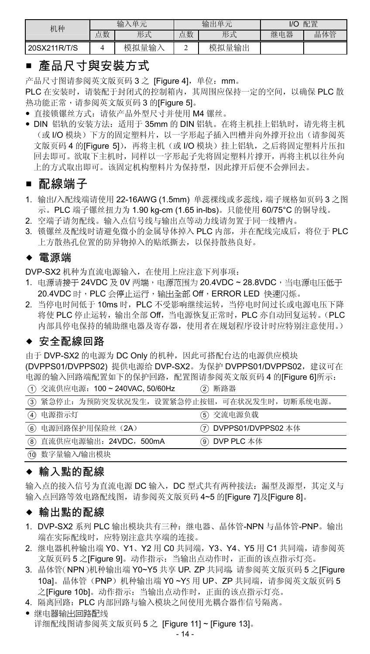| 机种           | 入单元<br>输 |       | 输出单元 |       | 配置<br>1/O |     |
|--------------|----------|-------|------|-------|-----------|-----|
|              | 点数       | 形式    | 点数   | 形式    | 继电器       | 晶体管 |
| 20SX211R/T/S |          | 模拟量输入 | ÷    | 模拟量输出 |           |     |

### ■ 產品尺寸與安裝方式

产品尺寸图请参阅英文版页码 3 之 [Figure 4],单位:mm。

PLC 在安装时,请装配于封闭式的控制箱内,其周围应保持一定的空间,以确保 PLC 散 热功能正常,请参阅英文版页码 3 的[Figure 5]。

- 直接锁镙丝方式:请依产品外型尺寸并使用 M4 镙丝。
- DIN 铝轨的安装方法:适用于 35mm 的 DIN 铝轨。在将主机挂上铝轨时,请先将主机 (或 I/O 模块)下方的固定塑料片,以一字形起子插入凹槽并向外撑开拉出(请参阅英 文版页码 4 的[Figure 5]),再将主机(或 I/O 模块)挂上铝轨,之后将固定塑料片压扣 回去即可。欲取下主机时,同样以一字形起子先将固定塑料片撑开,再将主机以往外向 上的方式取出即可。该固定机构塑料片为保持型,因此撑开后便不会弹回去。

### ■ 配線端子

- 1. 输出/入配线端请使用 22-16AWG (1.5mm) 单蕊祼线或多蕊线,端子规格如页码 3 之图 示。PLC 端子镙丝扭力为 1.90 kg-cm (1.65 in-lbs)。只能使用 60/75°C 的铜导线。
- 2. 空端子请勿配线。输入点信号线与输出点等动力线请勿置于同一线糟内。
- 3. 锁镙丝及配线时请避免微小的金属导体掉入 PLC 内部,并在配线完成后,将位于 PLC 上方散热孔位置的防异物掉入的贴纸撕去,以保持散热良好。

#### 電源端

DVP-SX2 机种为直流电源输入,在使用上应注意下列事项:

- 1. 电源请接于 24VDC 及 0V 两端, 电源范围为 20.4VDC ~ 28.8VDC, 当电源电压低于 20.4VDC 时,PLC 会停止运行,输出全部 Off,ERROR LED 快速闪烁。
- 2. 当停电时间低于 10ms 时,PLC 不受影响继续运转,当停电时间过长或电源电压下降 将使 PLC 停止运转,输出全部 Off,当电源恢复正常时,PLC 亦自动回复运转。(PLC 内部具停电保持的辅助继电器及寄存器,使用者在规划程序设计时应特别注意使用。)

### ◆ 安全配線回路

由于 DVP-SX2 的电源为 DC Only 的机种,因此可搭配台达的电源供应模块

(DVPPS01/DVPPS02) 提供电源给 DVP-SX2。为保护 DVPPS01/DVPPS02,建议可在 电源的输入回路端配置如下的保护回路,配置图请参阅英文版页码 4 的[Figure 6]所示: ① 交流供应电源: 100 ~ 240VAC, 50/60Hz ② 断路器

|                            | (3) 紧急停止: 为预防突发状况发生, 设置紧急停止按钮, 可在状况发生时, 切断系统电源。 |
|----------------------------|-------------------------------------------------|
| (4) 电源指示灯                  | (5) 交流电源负载                                      |
| 6 电源回路保护用保险丝 (2A)          | (7) DVPPS01/DVPPS02 本体                          |
| (8) 直流供应电源输出: 24VDC, 500mA | ⑨ DVP PLC 本体                                    |
| (10 数字量输入/输出模块             |                                                 |

### ◆ 輸入點的配線

输入点的接入信号为直流电源 DC 输入, DC 型式共有两种接法:漏型及源型, 其定义与 输入点回路等效电路配线图,请参阅英文版页码 4~5 的[Figure 7]及[Figure 8]。

#### ◆ 輸出點的配線

- 1. DVP-SX2 系列 PLC 输出模块共有三种:继电器、晶体管-NPN 与晶体管-PNP。输出 端在实际配线时,应特别注意共享端的连接。
- 2. 继电器机种输出端 Y0、Y1、Y2 用 C0 共同端,Y3、Y4、Y5 用 C1 共同端,请参阅英 文版页码 5 之[Figure 9]。动作指示:当输出点动作时,正面的该点指示灯亮。
- 3. 晶体管(NPN)机种输出端 Y0~Y5 共享 UP、ZP 共同端,请参阅英文版页码 5 之[Figure 10a]。晶体管(PNP)机种输出端 Y0 ~Y5 用 UP、ZP 共同端,请参阅英文版页码 5 之[Figure 10b]。动作指示:当输出点动作时,正面的该点指示灯亮。
- 4. 隔离回路:PLC 内部回路与输入模块之间使用光耦合器作信号隔离。
- 继电器输出回路配线 详细配线图请参阅英文版页码 5 之 [Figure 11] ~ [Figure 13]。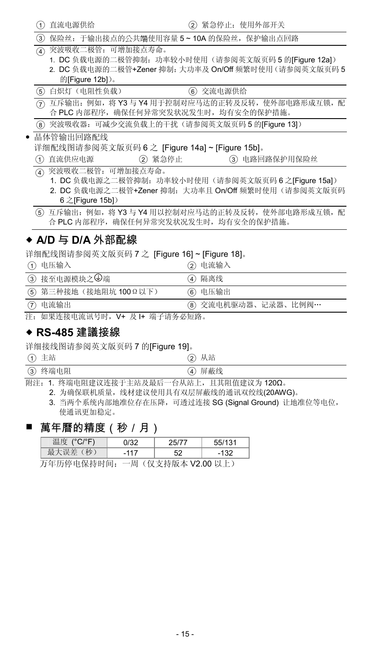| 直流电源供给 |  |  |  |  |
|--------|--|--|--|--|
|--------|--|--|--|--|

○<sup>3</sup> 保险丝:于输出接点的公共端使用容量 5 ~ 10A 的保险丝,保护输出点回路

- ○<sup>4</sup> 突波吸收二极管:可增加接点寿命。
	- 1. DC 负载电源的二极管抑制: 功率较小时使用(请参阅英文版页码 5 的[Figure 12a])
	- 2. DC 负载电源的二极管+Zener 抑制:大功率及 On/Off 频繁时使用(请参阅英文版页码 5 的[Figure 12b])。

| (5) 白炽灯 (电阻性负载)                                 | ⑥ 交流电源供给                                             |
|-------------------------------------------------|------------------------------------------------------|
| 合 PLC 内部程序, 确保任何异常突发状况发生时, 均有安全的保护措施。           | (ア) 互斥输出: 例如, 将 Y3 与 Y4 用于控制对应马达的正转及反转, 使外部电路形成互锁, 配 |
| (8) 突波吸收器: 可减少交流负载上的干扰(请参阅英文版页码 5 的[Figure 13]) |                                                      |
| 日传悠华山同映画座                                       |                                                      |

- 晶体管输出回路配线 详细配线图请参阅英文版页码 6 之 [Figure 14a] ~ [Figure 15b]。
- (1) 直流供应电源 (2) 紧急停止 (3) 电路回路保护用保险丝
	- 突波吸收二极管:可增加接点寿命。
		- 1. DC 负载电源之二极管抑制:功率较小时使用(请参阅英文版页码 6 之[Figure 15a])
		- 2. DC 负载电源之二极管+Zener 抑制: 大功率且 On/Off 频繁时使用(请参阅英文版页码  $6 \nightharpoonup$  [Figure 15b])

○<sup>5</sup> 互斥输出:例如,将 Y3 与 Y4 用以控制对应马达的正转及反转,使外部电路形成互锁,配 合 PLC 内部程序,确保任何异常突发状况发生时,均有安全的保护措施。

### ◆ A/D 与 D/A 外部配線

详细配线图请参阅英文版页码 7 之 [Figure 16] ~ [Figure 18]。

| (1)      | 电压输入                   | ② 电流输入               |  |
|----------|------------------------|----------------------|--|
|          | ③ 接至电源模块之→端            | ④ 隔离线                |  |
|          | (5) 第三种接地(接地阻坑 1000以下) | ⑥ 电压输出               |  |
| $\sigma$ | 电流输出                   | (8) 交流电机驱动器、记录器、比例阀… |  |
|          |                        |                      |  |

注:如果连接电流讯号时,V+ 及 I+ 端子请务必短路。

#### **RS-485** 建議接線

详细接线图请参阅英文版页码 7 的[Figure 19]。

(1) 主站 (2) 从站

| __                                  |                                    |
|-------------------------------------|------------------------------------|
| $\widehat{3}$<br>终端电阻<br>∼<br>_____ | 蔽线<br>屏<br>$\Lambda$<br>$\tilde{}$ |
|                                     |                                    |

附注:1. 终端电阻建议连接于主站及最后一台从站上,且其阻值建议为 120Ω。

2. 为确保联机质量,线材建议使用具有双层屏蔽线的通讯双绞线(20AWG)。

3. 当两个系统内部地准位存在压降,可透过连接 SG (Signal Ground) 让地准位等电位, 使通讯更加稳定。

### 萬年曆的精度(秒/月)

|                                       | 温度 (°C/°F) | 0/32   |  | 55/131 |  |
|---------------------------------------|------------|--------|--|--------|--|
|                                       | 最大误差(秒)    | $-117$ |  | $-132$ |  |
| 五年压度由担扶吐品<br>$(M \pm 11.000)$ M $\pm$ |            |        |  |        |  |

万年历停电保持时间:一周(仅支持版本 V2.00 以上)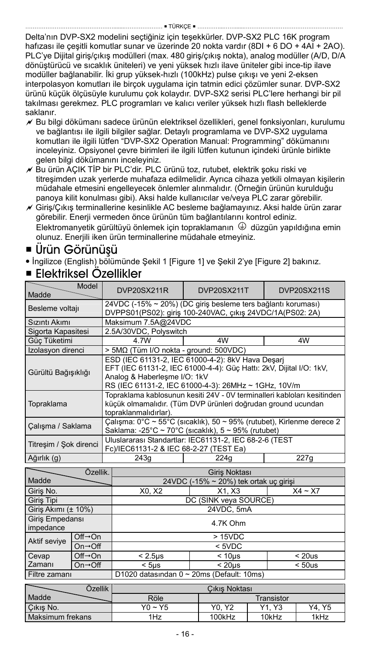Delta'nın DVP-SX2 modelini seçtiğiniz için teşekkürler. DVP-SX2 PLC 16K program hafızası ile çeşitli komutlar sunar ve üzerinde 20 nokta vardır (8DI + 6 DO + 4AI + 2AO). PLC'ye Dijital giriş/çıkış modülleri (max. 480 giriş/çıkış nokta), analog modüller (A/D, D/A dönüştürücü ve sıcaklık üniteleri) ve yeni yüksek hızlı ilave üniteler gibi ince-tip ilave modüller bağlanabilir. İki grup yüksek-hızlı (100kHz) pulse çıkışı ve yeni 2-eksen interpolasyon komutları ile birçok uygulama için tatmin edici çözümler sunar. DVP-SX2 ürünü küçük ölçüsüyle kurulumu çok kolaydır. DVP-SX2 serisi PLC'lere herhangi bir pil takılması gerekmez. PLC programları ve kalıcı veriler yüksek hızlı flash belleklerde saklanır.

- Bu bilgi dökümanı sadece ürünün elektriksel özellikleri, genel fonksiyonları, kurulumu ve bağlantısı ile ilgili bilgiler sağlar. Detaylı programlama ve DVP-SX2 uygulama komutları ile ilgili lütfen "DVP-SX2 Operation Manual: Programming" dökümanını inceleyiniz. Opsiyonel çevre birimleri ile ilgili lütfen kutunun içindeki ürünle birlikte gelen bilgi dökümanını inceleyiniz.
- Bu ürün AÇIK TİP bir PLC'dir. PLC ürünü toz, rutubet, elektrik şoku riski ve titreşimden uzak yerlerde muhafaza edilmelidir. Ayrıca cihaza yetkili olmayan kişilerin müdahale etmesini engelleyecek önlemler alınmalıdır. (Örneğin ürünün kurulduğu panoya kilit konulması gibi). Aksi halde kullanıcılar ve/veya PLC zarar görebilir.
- Giriş/Çıkış terminallerine kesinlikle AC besleme bağlamayınız. Aksi halde ürün zarar görebilir. Enerji vermeden önce ürünün tüm bağlantılarını kontrol ediniz.  $E$ lektromanyetik gürültüyü önlemek için topraklamanın  $\Phi$  düzgün yapıldığına emin olunuz. Enerjili iken ürün terminallerine müdahale etmeyiniz.

### Ürün Görünüşü

İngilizce (English) bölümünde Şekil 1 [Figure 1] ve Şekil 2'ye [Figure 2] bakınız.

### Elektriksel Özellikler

| Madde                  | Model                           | DVP20SX211R                                                                                                                                                                                                      | <b>DVP20SX211T</b>                                                                                                        | <b>DVP20SX211S</b> |  |
|------------------------|---------------------------------|------------------------------------------------------------------------------------------------------------------------------------------------------------------------------------------------------------------|---------------------------------------------------------------------------------------------------------------------------|--------------------|--|
| Besleme voltajı        |                                 |                                                                                                                                                                                                                  | 24VDC (-15% ~ 20%) (DC giriş besleme ters bağlantı koruması)<br>DVPPS01(PS02): giriş 100-240VAC, çıkış 24VDC/1A(PS02: 2A) |                    |  |
| Sızıntı Akımı          |                                 | Maksimum 7.5A@24VDC                                                                                                                                                                                              |                                                                                                                           |                    |  |
| Sigorta Kapasitesi     |                                 | 2.5A/30VDC, Polyswitch                                                                                                                                                                                           |                                                                                                                           |                    |  |
| Güc Tüketimi           |                                 | 4 7W                                                                                                                                                                                                             | 4W                                                                                                                        | 4W                 |  |
| Izolasyon direnci      |                                 | > 5MΩ (Tüm I/O nokta - ground: 500VDC)                                                                                                                                                                           |                                                                                                                           |                    |  |
| Gürültü Bağışıklığı    |                                 | ESD (IEC 61131-2, IEC 61000-4-2): 8kV Hava Desarj<br>EFT (IEC 61131-2, IEC 61000-4-4): Güç Hattı: 2kV, Dijital I/O: 1kV,<br>Analog & Haberlesme I/O: 1kV<br>RS (IEC 61131-2, IEC 61000-4-3): 26MHz ~ 1GHz, 10V/m |                                                                                                                           |                    |  |
| Topraklama             |                                 | Topraklama kablosunun kesiti 24V - 0V terminalleri kabloları kesitinden<br>küçük olmamalıdır. (Tüm DVP ürünleri doğrudan ground ucundan<br>topraklanmalıdırlar).                                                 |                                                                                                                           |                    |  |
| Calışma / Saklama      |                                 | Çalışma: 0°C ~ 55°C (sıcaklık), 50 ~ 95% (rutubet), Kirlenme derece 2<br>Saklama: -25°C ~ 70°C (sıcaklık), $5 \sim 95\%$ (rutubet)                                                                               |                                                                                                                           |                    |  |
| Titresim / Sok direnci |                                 | Fc)/IEC61131-2 & IEC 68-2-27 (TEST Ea)                                                                                                                                                                           | Uluslararası Standartlar: IEC61131-2, IEC 68-2-6 (TEST                                                                    |                    |  |
| Ağırlık (g)            |                                 | 243q                                                                                                                                                                                                             | 224a                                                                                                                      | 227g               |  |
|                        | Özellik.                        | Giris Noktası                                                                                                                                                                                                    |                                                                                                                           |                    |  |
| Madde                  |                                 | 24VDC (-15% ~ 20%) tek ortak uç girişi                                                                                                                                                                           |                                                                                                                           |                    |  |
| Giris No.              |                                 | X0. X2                                                                                                                                                                                                           | X1. X3                                                                                                                    | $X4 - X7$          |  |
| Giris Tipi             |                                 |                                                                                                                                                                                                                  | DC (SINK veya SOURCE)                                                                                                     |                    |  |
| Giriş Akımı (± 10%)    |                                 |                                                                                                                                                                                                                  | 24VDC, 5mA                                                                                                                |                    |  |
| Giris Empedansı        |                                 |                                                                                                                                                                                                                  |                                                                                                                           |                    |  |
| impedance              | 4.7K Ohm                        |                                                                                                                                                                                                                  |                                                                                                                           |                    |  |
| Aktif sevive           | $Off \rightarrow On$            |                                                                                                                                                                                                                  | >15VDC                                                                                                                    |                    |  |
|                        | $On \rightarrow \text{Off}$     |                                                                                                                                                                                                                  | $5VDC$                                                                                                                    |                    |  |
| Cevap                  | $Off \rightarrow On$            | $< 2.5 \mu s$                                                                                                                                                                                                    | < 10 <sub>µ</sub> s                                                                                                       | < 20us             |  |
| Zamanı                 | $On \rightarrow \overline{Off}$ | $<$ 5 $\mu$ s                                                                                                                                                                                                    | < 20 <sub>us</sub>                                                                                                        | < 50us             |  |
| Filtre zamanı          |                                 |                                                                                                                                                                                                                  | D1020 datasından 0 ~ 20ms (Default: 10ms)                                                                                 |                    |  |

| Özellik          | Cikis Noktası  |            |                               |        |  |
|------------------|----------------|------------|-------------------------------|--------|--|
| Madde            | Röle           | Transistor |                               |        |  |
| Cikis No.        | $Y_0 \sim Y_5$ | Y0. Y2     | Y <sub>1</sub> Y <sub>3</sub> | Y4. Y5 |  |
| Maksimum frekans | 1Hz            | 100kHz     | 10kHz                         | 1kHz   |  |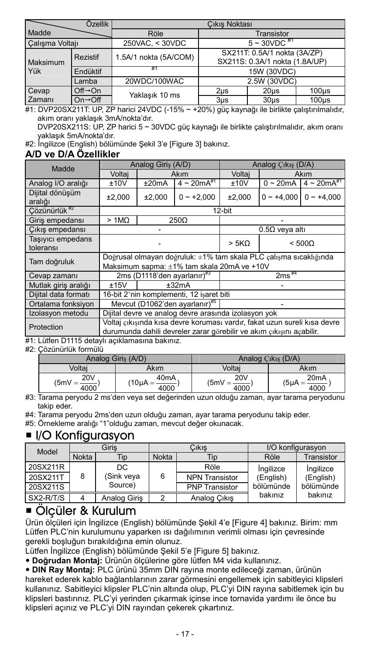|                 | Özellik                      | Cikis Noktası         |                                                                |                   |                   |
|-----------------|------------------------------|-----------------------|----------------------------------------------------------------|-------------------|-------------------|
| Madde           |                              | Röle                  | Transistor                                                     |                   |                   |
| Calışma Voltajı |                              | 250VAC, < 30VDC       | $5 \sim 30 VDC$ #1                                             |                   |                   |
| Maksimum        | <b>Rezistif</b>              | 1.5A/1 nokta (5A/COM) | SX211T: 0.5A/1 nokta (3A/ZP)<br>SX211S: 0.3A/1 nokta (1.8A/UP) |                   |                   |
| Yük             | Endüktif                     | #1                    | 15W (30VDC)                                                    |                   |                   |
|                 | Lamba                        | 20WDC/100WAC          | 2.5W (30VDC)                                                   |                   |                   |
| Cevap           | $Off \rightarrow On$         | Yaklaşık 10 ms        | 2 <sub>µ</sub> s                                               | 20 <sub>µ</sub> s | 100 <sub>us</sub> |
| Zamanı          | $On \rightarrow \bigcirc ff$ |                       | $3µ$ s                                                         | $30µ$ s           | $100µ$ s          |

#1: DVP20SX211T: UP, ZP harici 24VDC (-15% ~ +20%) güç kaynağı ile birlikte çalıştırılmalıdır, akım oranı yaklaşık 3mA/nokta'dır.

DVP20SX211S: UP, ZP harici 5 ~ 30VDC güç kaynağı ile birlikte çalıştırılmalıdır, akım oranı yaklaşık 5mA/nokta'dır.

#2: İngilizce (English) bölümünde Şekil 3'e [Figure 3] bakınız.

#### **A/D ve D/A Özellikler**

| Madde                          | Analog Giris (A/D)                                                                                                                                |         |                                | Analog Cikis (D/A) |                              |                     |  |
|--------------------------------|---------------------------------------------------------------------------------------------------------------------------------------------------|---------|--------------------------------|--------------------|------------------------------|---------------------|--|
|                                | Voltai                                                                                                                                            | Akım    |                                | Voltai             | Akım                         |                     |  |
| Analog I/O aralığı             | ±20mA<br>±10V                                                                                                                                     |         | $4 \sim 20 m\overline{A}^{*1}$ | ±10V               | $0 \sim 20$ mA               | $4 \sim 20 mA^{*1}$ |  |
| Dijital dönüşüm<br>aralığı     | ±2.000                                                                                                                                            | ±2.000  | $0 - +2.000$                   | ±2.000             | $0 - +4.000$<br>$0 - +4.000$ |                     |  |
| Cözünürlük <sup>#2</sup>       |                                                                                                                                                   |         |                                | 12-bit             |                              |                     |  |
| Giris empedansı                | $>1M\Omega$<br>250 <sub>O</sub>                                                                                                                   |         |                                |                    |                              |                     |  |
| Cıkış empedansı                |                                                                                                                                                   |         | $0.5\Omega$ veya altı          |                    |                              |                     |  |
| Tasivici empedans<br>toleransı |                                                                                                                                                   |         | > 5K <sub>Ω</sub>              | $< 500\Omega$      |                              |                     |  |
| Tam doğruluk                   | Doğrusal olmayan doğruluk: ±1% tam skala PLC çalışma sıcaklığında<br>Maksimum sapma: ±1% tam skala 20mA ve +10V                                   |         |                                |                    |                              |                     |  |
| Cevap zamanı                   | 2ms (D1118'den avarlanır) <sup>#3</sup>                                                                                                           |         | $2ms^{44}$                     |                    |                              |                     |  |
| Mutlak giriş aralığı           | ±15V                                                                                                                                              | $+32mA$ |                                |                    |                              |                     |  |
| Diiital data formatı           | 16-bit 2'nin komplementi, 12 isaret biti                                                                                                          |         |                                |                    |                              |                     |  |
| Ortalama fonksiyon             | Mevcut (D1062'den ayarlanır)#5                                                                                                                    |         |                                |                    |                              |                     |  |
| Izolasyon metodu               | Dijital devre ve analog devre arasında izolasyon yok                                                                                              |         |                                |                    |                              |                     |  |
| Protection                     | Voltaj cikisinda kisa devre korumasi vardir, fakat uzun sureli kisa devre<br>durumunda dahili devreler zarar görebilir ve akım çıkışını açabilir. |         |                                |                    |                              |                     |  |

#1: Lütfen D1115 detaylı açıklamasına bakınız.

#2: Çözünürlük formülü

|                         | Analog Giris (A/D)          | Analog Cikis (D/A)                   |                                          |  |
|-------------------------|-----------------------------|--------------------------------------|------------------------------------------|--|
| Voltai<br>Akım          |                             | Voltai                               | Akım                                     |  |
| 20V<br>$(5mV =$<br>4000 | 40mA<br>$10\mu A =$<br>4000 | <b>20V</b><br>$(5mV =$<br>__<br>4000 | 20 <sub>m</sub> A<br>$(5\mu A =$<br>4000 |  |

#3: Tarama peryodu 2 ms'den veya set değerinden uzun olduğu zaman, ayar tarama peryodunu takip eder.

#4: Tarama peryodu 2ms'den uzun olduğu zaman, ayar tarama peryodunu takip eder.

#5: Örnekleme aralığı "1"olduğu zaman, mevcut değer okunacak.

### $\blacksquare$  I/O Konfigurasyon

| Model     | Giris |              | Cıkıs |                       | I/O konfigurasvon |                      |
|-----------|-------|--------------|-------|-----------------------|-------------------|----------------------|
|           | Nokta | Tip          | Nokta | Tip                   | Röle              | Transistor           |
| 20SX211R  |       | DC           |       | Röle                  | Ingilizce         | Ingilizce            |
| 20SX211T  | 8     | (Sink veya   | 6     | <b>NPN Transistor</b> | (English)         | (English)            |
| 20SX211S  |       | Source)      |       | <b>PNP Transistor</b> | bölümünde         | bölümünde<br>bakınız |
| SX2-R/T/S |       | Analog Giris |       | Analog Cikis          | bakınız           |                      |

### Ölçüler & Kurulum

Ürün ölçüleri için İngilizce (English) bölümünde Şekil 4'e [Figure 4] bakınız. Birim: mm Lütfen PLC'nin kurulumunu yaparken ısı dağılımının verimli olması için çevresinde gerekli boşluğun bırakıldığına emin olunuz.

Lütfen İngilizce (English) bölümünde Şekil 5'e [Figure 5] bakınız.

- **Doğrudan Montaj:** Ürünün ölçülerine göre lütfen M4 vida kullanınız.
- **DIN Ray Montaj:** PLC ürünü 35mm DIN rayına monte edileceği zaman, ürünün

hareket ederek kablo bağlantılarının zarar görmesini engellemek için sabitleyici klipsleri kullanınız. Sabitleyici klipsler PLC'nin altında olup, PLC'yi DIN rayına sabitlemek için bu klipsleri bastırınız. PLC'yi yerinden çıkarmak içinse ince tornavida yardımı ile önce bu klipsleri açınız ve PLC'yi DIN rayından çekerek çıkartınız.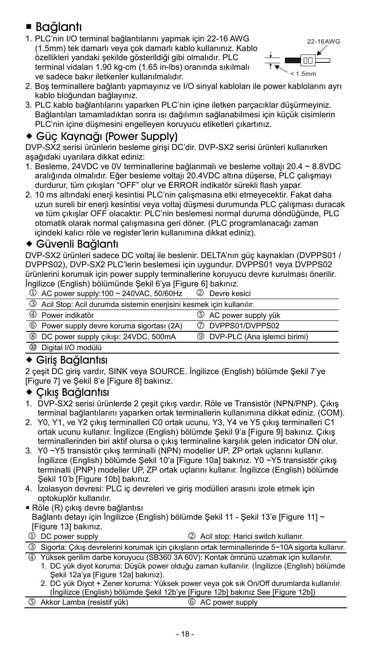## Bağlantı

1. PLC'nin I/O terminal bağlantılarını yapmak için 22-16 AWG (1.5mm) tek damarlı veya çok damarlı kablo kullanınız. Kablo özellikleri yandaki şekilde gösterildiği gibi olmalıdır. PLC terminal vidaları 1.90 kg-cm (1.65 in-lbs) oranında sıkılmalı ve sadece bakır iletkenler kullanılmalıdır.



- 2. Boş terminallere bağlantı yapmayınız ve I/O sinyal kabloları ile power kablolarını ayrı kablo bloğundan bağlayınız.
- 3. PLC kablo bağlantılarını yaparken PLC'nin içine iletken parçacıklar düşürmeyiniz. Bağlantıları tamamladıktan sonra ısı dağılımın sağlanabilmesi için küçük cisimlerin PLC'nin içine düşmesini engelleyen koruyucu etiketleri çıkartınız.

### Güç Kaynağı (Power Supply)

DVP-SX2 serisi ürünlerin besleme girişi DC'dir. DVP-SX2 serisi ürünleri kullanırken aşağıdaki uyarılara dikkat ediniz:

- 1. Besleme, 24VDC ve 0V terminallerine bağlanmalı ve besleme voltajı 20.4 ~ 8.8VDC aralığında olmalıdır. Eğer besleme voltajı 20.4VDC altına düşerse, PLC çalışmayı durdurur, tüm çıkışları "OFF" olur ve ERROR indikatör sürekli flash yapar.
- 2. 10 ms altındaki enerji kesintisi PLC'nin çalışmasına etki etmeyecektir. Fakat daha uzun sureli bir enerji kesintisi veya voltaj düşmesi durumunda PLC çalışması duracak ve tüm çıkışlar OFF olacaktır. PLC'nin beslemesi normal duruma döndüğünde, PLC otomatik olarak normal çalışmasına geri döner. (PLC programlanacağı zaman içindeki kalıcı röle ve register'lerin kullanımına dikkat ediniz).

#### Güvenli Bağlantı

DVP-SX2 ürünleri sadece DC voltaj ile beslenir. DELTA'nın güç kaynakları (DVPPS01 / DVPPS02), DVP-SX2 PLC'lerin beslemesi için uygundur. DVPPS01 veya DVPPS02 ürünlerini korumak için power supply terminallerine koruyucu devre kurulması önerilir. İngilizce (English) bölümünde Şekil 6'ya [Figure 6] bakınız.

 $\overline{0}$  AC power supply:100 ~ 240VAC, 50/60Hz  $\overline{2}$  Devre kesici

| 3 Acil Stop: Acil durumda sistemin eneriisini kesmek icin kullanılır. |                                       |
|-----------------------------------------------------------------------|---------------------------------------|
| 4 Power indikatör                                                     | 5 AC power supply yük                 |
| 6 Power supply devre koruma sigortası (2A)                            | 7 DVPPS01/DVPPS02                     |
| 8 DC power supply cikisi: 24VDC, 500mA                                | <b>9</b> DVP-PLC (Ana islemci birimi) |
| 10 Digital I/O modülü                                                 |                                       |

### Giriş Bağlantısı

2 çeşit DC giriş vardır, SINK veya SOURCE. İngilizce (English) bölümde Şekil 7'ye [Figure 7] ve Şekil 8'e [Figure 8] bakınız.

#### Çıkış Bağlantısı

- 1. DVP-SX2 serisi ürünlerde 2 çeşit çıkış vardır. Röle ve Transistör (NPN/PNP). Çıkış terminal bağlantılarını yaparken ortak terminallerin kullanımına dikkat ediniz. (COM).
- 2. Y0, Y1, ve Y2 çıkış terminalleri C0 ortak ucunu, Y3, Y4 ve Y5 çıkış terminalleri C1 ortak ucunu kullanır. İngilizce (English) bölümde Şekil 9'a [Figure 9] bakınız. Çıkış terminallerinden biri aktif olursa o çıkış terminaline karşılık gelen indicator ON olur.
- 3. Y0 ~Y5 transistör çıkış terminalli (NPN) modeller UP, ZP ortak uçlarını kullanır. İngilizce (English) bölümde Şekil 10'a [Figure 10a] bakınız. Y0 ~Y5 transistör çıkış terminalli (PNP) modeller UP, ZP ortak uçlarını kullanır. İngilizce (English) bölümde Sekil 10'b [Figure 10b] bakınız.
- 4. İzolasyon devresi: PLC iç devreleri ve giriş modülleri arasını izole etmek için optokuplör kullanılır.
- Röle (R) çıkış devre bağlantısı Bağlantı detayı için İngilizce (English) bölümde Şekil 11 - Şekil 13'e [Figure 11] ~ [Figure 13] bakınız.
- 1 DC power supply  $2$  Acil stop: Harici switch kullanır. Sigorta: Çıkış devrelerini korumak için çıkışların ortak terminallerinde 5~10A sigorta kullanır.

 Yüksek gerilim darbe koruyucu (SB360 3A 60V): Kontak ömrünü uzatmak için kullanılır. 1. DC yük diyot koruma: Düşük power olduğu zaman kullanılır. (İngilizce (English) bölümde

- Şekil 12a'ya [Figure 12a] bakınız).
- 2. DC yük Diyot + Zener koruma: Yüksek power veya çok sık On/Off durumlarda kullanılır.
- (İngilizce (English) bölümde Şekil 12b'ye [Figure 12b] bakınız See [Figure 12b])
- Akkor Lamba (resistif yük) AC power supply